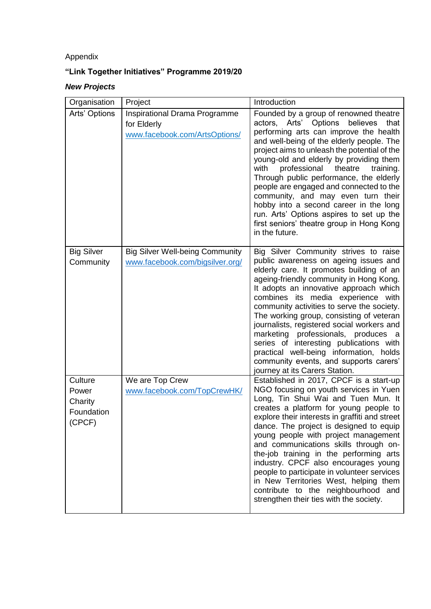## Appendix

## **"Link Together Initiatives" Programme 2019/20**

## *New Projects*

| Organisation                                        | Project                                                                       | Introduction                                                                                                                                                                                                                                                                                                                                                                                                                                                                                                                                                                                                  |
|-----------------------------------------------------|-------------------------------------------------------------------------------|---------------------------------------------------------------------------------------------------------------------------------------------------------------------------------------------------------------------------------------------------------------------------------------------------------------------------------------------------------------------------------------------------------------------------------------------------------------------------------------------------------------------------------------------------------------------------------------------------------------|
| Arts' Options                                       | Inspirational Drama Programme<br>for Elderly<br>www.facebook.com/ArtsOptions/ | Founded by a group of renowned theatre<br>Arts'<br>Options<br>believes<br>actors,<br>that<br>performing arts can improve the health<br>and well-being of the elderly people. The<br>project aims to unleash the potential of the<br>young-old and elderly by providing them<br>with<br>professional<br>theatre<br>training.<br>Through public performance, the elderly<br>people are engaged and connected to the<br>community, and may even turn their<br>hobby into a second career in the long<br>run. Arts' Options aspires to set up the<br>first seniors' theatre group in Hong Kong<br>in the future.  |
| <b>Big Silver</b><br>Community                      | <b>Big Silver Well-being Community</b><br>www.facebook.com/bigsilver.org/     | Big Silver Community strives to raise<br>public awareness on ageing issues and<br>elderly care. It promotes building of an<br>ageing-friendly community in Hong Kong.<br>It adopts an innovative approach which<br>combines its media experience with<br>community activities to serve the society.<br>The working group, consisting of veteran<br>journalists, registered social workers and<br>marketing professionals, produces a<br>series of interesting publications with<br>practical well-being information, holds<br>community events, and supports carers'<br>journey at its Carers Station.        |
| Culture<br>Power<br>Charity<br>Foundation<br>(CPCF) | We are Top Crew<br>www.facebook.com/TopCrewHK/                                | Established in 2017, CPCF is a start-up<br>NGO focusing on youth services in Yuen<br>Long, Tin Shui Wai and Tuen Mun. It<br>creates a platform for young people to<br>explore their interests in graffiti and street<br>dance. The project is designed to equip<br>young people with project management<br>and communications skills through on-<br>the-job training in the performing arts<br>industry. CPCF also encourages young<br>people to participate in volunteer services<br>in New Territories West, helping them<br>contribute to the neighbourhood and<br>strengthen their ties with the society. |